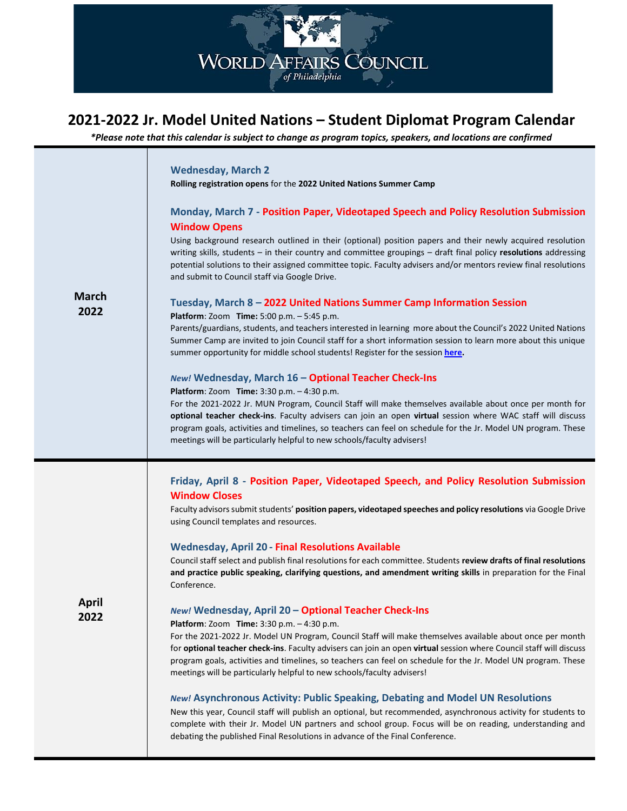

## **2021-2022 Jr. Model United Nations – Student Diplomat Program Calendar**

*\*Please note that this calendar is subject to change as program topics, speakers, and locations are confirmed*

| <b>March</b><br>2022 | <b>Wednesday, March 2</b><br>Rolling registration opens for the 2022 United Nations Summer Camp<br>Monday, March 7 - Position Paper, Videotaped Speech and Policy Resolution Submission<br><b>Window Opens</b><br>Using background research outlined in their (optional) position papers and their newly acquired resolution<br>writing skills, students - in their country and committee groupings - draft final policy resolutions addressing<br>potential solutions to their assigned committee topic. Faculty advisers and/or mentors review final resolutions<br>and submit to Council staff via Google Drive.<br>Tuesday, March 8 - 2022 United Nations Summer Camp Information Session<br>Platform: Zoom Time: 5:00 p.m. - 5:45 p.m.<br>Parents/guardians, students, and teachers interested in learning more about the Council's 2022 United Nations<br>Summer Camp are invited to join Council staff for a short information session to learn more about this unique<br>summer opportunity for middle school students! Register for the session here.<br>New! Wednesday, March 16 - Optional Teacher Check-Ins<br>Platform: Zoom Time: 3:30 p.m. - 4:30 p.m.<br>For the 2021-2022 Jr. MUN Program, Council Staff will make themselves available about once per month for<br>optional teacher check-ins. Faculty advisers can join an open virtual session where WAC staff will discuss<br>program goals, activities and timelines, so teachers can feel on schedule for the Jr. Model UN program. These<br>meetings will be particularly helpful to new schools/faculty advisers! |
|----------------------|--------------------------------------------------------------------------------------------------------------------------------------------------------------------------------------------------------------------------------------------------------------------------------------------------------------------------------------------------------------------------------------------------------------------------------------------------------------------------------------------------------------------------------------------------------------------------------------------------------------------------------------------------------------------------------------------------------------------------------------------------------------------------------------------------------------------------------------------------------------------------------------------------------------------------------------------------------------------------------------------------------------------------------------------------------------------------------------------------------------------------------------------------------------------------------------------------------------------------------------------------------------------------------------------------------------------------------------------------------------------------------------------------------------------------------------------------------------------------------------------------------------------------------------------------------------------------------------------|
| April<br>2022        | Friday, April 8 - Position Paper, Videotaped Speech, and Policy Resolution Submission<br><b>Window Closes</b><br>Faculty advisors submit students' position papers, videotaped speeches and policy resolutions via Google Drive<br>using Council templates and resources.<br><b>Wednesday, April 20 - Final Resolutions Available</b><br>Council staff select and publish final resolutions for each committee. Students review drafts of final resolutions<br>and practice public speaking, clarifying questions, and amendment writing skills in preparation for the Final<br>Conference.<br>New! Wednesday, April 20 - Optional Teacher Check-Ins<br><b>Platform:</b> Zoom <b>Time:</b> 3:30 p.m. - 4:30 p.m.<br>For the 2021-2022 Jr. Model UN Program, Council Staff will make themselves available about once per month<br>for optional teacher check-ins. Faculty advisers can join an open virtual session where Council staff will discuss<br>program goals, activities and timelines, so teachers can feel on schedule for the Jr. Model UN program. These<br>meetings will be particularly helpful to new schools/faculty advisers!<br>New! Asynchronous Activity: Public Speaking, Debating and Model UN Resolutions<br>New this year, Council staff will publish an optional, but recommended, asynchronous activity for students to<br>complete with their Jr. Model UN partners and school group. Focus will be on reading, understanding and<br>debating the published Final Resolutions in advance of the Final Conference.                                               |